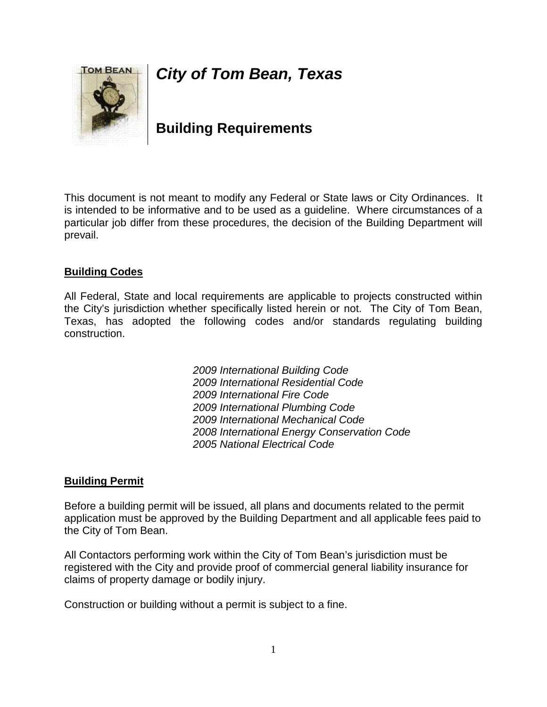# *City of Tom Bean, Texas*



## **Building Requirements**

This document is not meant to modify any Federal or State laws or City Ordinances. It is intended to be informative and to be used as a guideline. Where circumstances of a particular job differ from these procedures, the decision of the Building Department will prevail.

### **Building Codes**

All Federal, State and local requirements are applicable to projects constructed within the City's jurisdiction whether specifically listed herein or not. The City of Tom Bean, Texas, has adopted the following codes and/or standards regulating building construction.

> *International Building Code International Residential Code International Fire Code International Plumbing Code International Mechanical Code International Energy Conservation Code 2005 National Electrical Code*

#### **Building Permit**

Before a building permit will be issued, all plans and documents related to the permit application must be approved by the Building Department and all applicable fees paid to the City of Tom Bean.

All Contactors performing work within the City of Tom Bean's jurisdiction must be registered with the City and provide proof of commercial general liability insurance for claims of property damage or bodily injury.

Construction or building without a permit is subject to a fine.